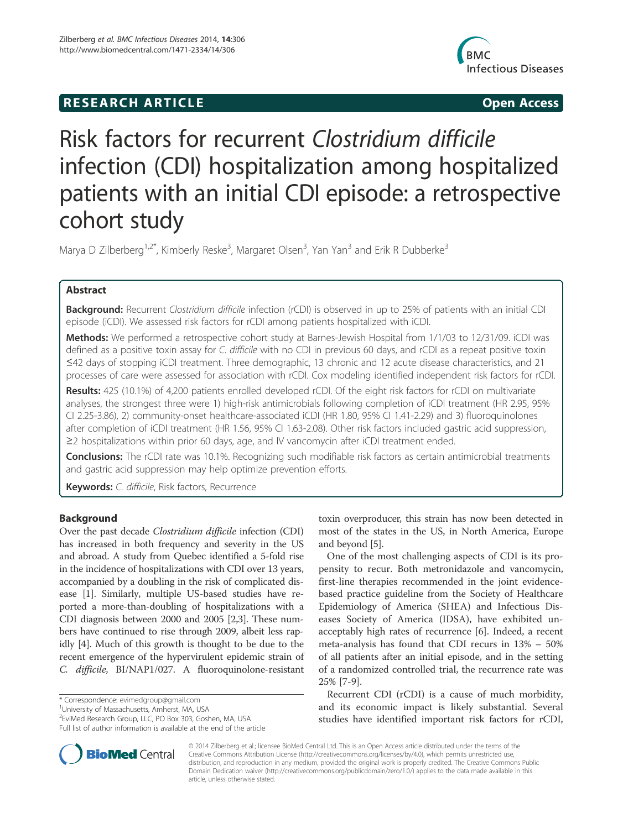## **RESEARCH ARTICLE Example 2014 CONSIDERING CONSIDERING CONSIDERING CONSIDERING CONSIDERING CONSIDERING CONSIDERING CONSIDERING CONSIDERING CONSIDERING CONSIDERING CONSIDERING CONSIDERING CONSIDERING CONSIDERING CONSIDE**



# Risk factors for recurrent Clostridium difficile infection (CDI) hospitalization among hospitalized patients with an initial CDI episode: a retrospective cohort study

Marya D Zilberberg<sup>1,2\*</sup>, Kimberly Reske<sup>3</sup>, Margaret Olsen<sup>3</sup>, Yan Yan<sup>3</sup> and Erik R Dubberke<sup>3</sup>

## Abstract

Background: Recurrent Clostridium difficile infection (rCDI) is observed in up to 25% of patients with an initial CDI episode (iCDI). We assessed risk factors for rCDI among patients hospitalized with iCDI.

Methods: We performed a retrospective cohort study at Barnes-Jewish Hospital from 1/1/03 to 12/31/09. iCDI was defined as a positive toxin assay for C. difficile with no CDI in previous 60 days, and rCDI as a repeat positive toxin ≤42 days of stopping iCDI treatment. Three demographic, 13 chronic and 12 acute disease characteristics, and 21 processes of care were assessed for association with rCDI. Cox modeling identified independent risk factors for rCDI.

Results: 425 (10.1%) of 4,200 patients enrolled developed rCDI. Of the eight risk factors for rCDI on multivariate analyses, the strongest three were 1) high-risk antimicrobials following completion of iCDI treatment (HR 2.95, 95% CI 2.25-3.86), 2) community-onset healthcare-associated iCDI (HR 1.80, 95% CI 1.41-2.29) and 3) fluoroquinolones after completion of iCDI treatment (HR 1.56, 95% CI 1.63-2.08). Other risk factors included gastric acid suppression, ≥2 hospitalizations within prior 60 days, age, and IV vancomycin after iCDI treatment ended.

Conclusions: The rCDI rate was 10.1%. Recognizing such modifiable risk factors as certain antimicrobial treatments and gastric acid suppression may help optimize prevention efforts.

Keywords: C. difficile, Risk factors, Recurrence

## Background

Over the past decade Clostridium difficile infection (CDI) has increased in both frequency and severity in the US and abroad. A study from Quebec identified a 5-fold rise in the incidence of hospitalizations with CDI over 13 years, accompanied by a doubling in the risk of complicated disease [1]. Similarly, multiple US-based studies have reported a more-than-doubling of hospitalizations with a CDI diagnosis between 2000 and 2005 [2,3]. These numbers have continued to rise through 2009, albeit less rapidly [4]. Much of this growth is thought to be due to the recent emergence of the hypervirulent epidemic strain of C. difficile, BI/NAP1/027. A fluoroquinolone-resistant

\* Correspondence: evimedgroup@gmail.com <sup>1</sup>

University of Massachusetts, Amherst, MA, USA 2 EviMed Research Group, LLC, PO Box 303, Goshen, MA, USA

Full list of author information is available at the end of the article



One of the most challenging aspects of CDI is its propensity to recur. Both metronidazole and vancomycin, first-line therapies recommended in the joint evidencebased practice guideline from the Society of Healthcare Epidemiology of America (SHEA) and Infectious Diseases Society of America (IDSA), have exhibited unacceptably high rates of recurrence [6]. Indeed, a recent meta-analysis has found that CDI recurs in 13% – 50% of all patients after an initial episode, and in the setting of a randomized controlled trial, the recurrence rate was 25% [7-9].

Recurrent CDI (rCDI) is a cause of much morbidity, and its economic impact is likely substantial. Several studies have identified important risk factors for rCDI,



© 2014 Zilberberg et al.; licensee BioMed Central Ltd. This is an Open Access article distributed under the terms of the Creative Commons Attribution License (http://creativecommons.org/licenses/by/4.0), which permits unrestricted use, distribution, and reproduction in any medium, provided the original work is properly credited. The Creative Commons Public Domain Dedication waiver (http://creativecommons.org/publicdomain/zero/1.0/) applies to the data made available in this article, unless otherwise stated.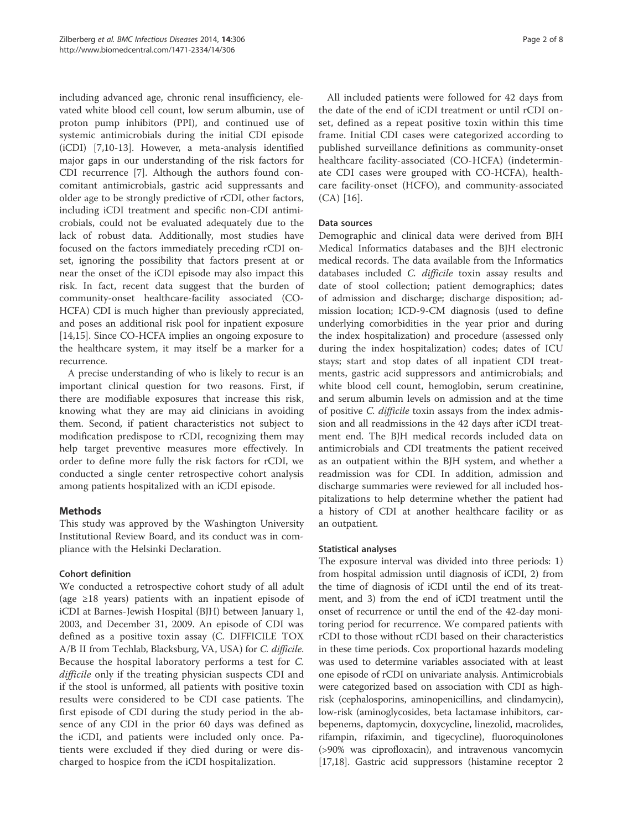including advanced age, chronic renal insufficiency, elevated white blood cell count, low serum albumin, use of proton pump inhibitors (PPI), and continued use of systemic antimicrobials during the initial CDI episode (iCDI) [7,10-13]. However, a meta-analysis identified major gaps in our understanding of the risk factors for CDI recurrence [7]. Although the authors found concomitant antimicrobials, gastric acid suppressants and older age to be strongly predictive of rCDI, other factors, including iCDI treatment and specific non-CDI antimicrobials, could not be evaluated adequately due to the lack of robust data. Additionally, most studies have focused on the factors immediately preceding rCDI onset, ignoring the possibility that factors present at or near the onset of the iCDI episode may also impact this risk. In fact, recent data suggest that the burden of community-onset healthcare-facility associated (CO-HCFA) CDI is much higher than previously appreciated, and poses an additional risk pool for inpatient exposure [14,15]. Since CO-HCFA implies an ongoing exposure to the healthcare system, it may itself be a marker for a recurrence.

A precise understanding of who is likely to recur is an important clinical question for two reasons. First, if there are modifiable exposures that increase this risk, knowing what they are may aid clinicians in avoiding them. Second, if patient characteristics not subject to modification predispose to rCDI, recognizing them may help target preventive measures more effectively. In order to define more fully the risk factors for rCDI, we conducted a single center retrospective cohort analysis among patients hospitalized with an iCDI episode.

## Methods

This study was approved by the Washington University Institutional Review Board, and its conduct was in compliance with the Helsinki Declaration.

## Cohort definition

We conducted a retrospective cohort study of all adult (age  $\geq$ 18 years) patients with an inpatient episode of iCDI at Barnes-Jewish Hospital (BJH) between January 1, 2003, and December 31, 2009. An episode of CDI was defined as a positive toxin assay (C. DIFFICILE TOX A/B II from Techlab, Blacksburg, VA, USA) for C. difficile. Because the hospital laboratory performs a test for C. difficile only if the treating physician suspects CDI and if the stool is unformed, all patients with positive toxin results were considered to be CDI case patients. The first episode of CDI during the study period in the absence of any CDI in the prior 60 days was defined as the iCDI, and patients were included only once. Patients were excluded if they died during or were discharged to hospice from the iCDI hospitalization.

All included patients were followed for 42 days from the date of the end of iCDI treatment or until rCDI onset, defined as a repeat positive toxin within this time frame. Initial CDI cases were categorized according to published surveillance definitions as community-onset healthcare facility-associated (CO-HCFA) (indeterminate CDI cases were grouped with CO-HCFA), healthcare facility-onset (HCFO), and community-associated (CA) [16].

## Data sources

Demographic and clinical data were derived from BJH Medical Informatics databases and the BJH electronic medical records. The data available from the Informatics databases included C. difficile toxin assay results and date of stool collection; patient demographics; dates of admission and discharge; discharge disposition; admission location; ICD-9-CM diagnosis (used to define underlying comorbidities in the year prior and during the index hospitalization) and procedure (assessed only during the index hospitalization) codes; dates of ICU stays; start and stop dates of all inpatient CDI treatments, gastric acid suppressors and antimicrobials; and white blood cell count, hemoglobin, serum creatinine, and serum albumin levels on admission and at the time of positive C. difficile toxin assays from the index admission and all readmissions in the 42 days after iCDI treatment end. The BJH medical records included data on antimicrobials and CDI treatments the patient received as an outpatient within the BJH system, and whether a readmission was for CDI. In addition, admission and discharge summaries were reviewed for all included hospitalizations to help determine whether the patient had a history of CDI at another healthcare facility or as an outpatient.

## Statistical analyses

The exposure interval was divided into three periods: 1) from hospital admission until diagnosis of iCDI, 2) from the time of diagnosis of iCDI until the end of its treatment, and 3) from the end of iCDI treatment until the onset of recurrence or until the end of the 42-day monitoring period for recurrence. We compared patients with rCDI to those without rCDI based on their characteristics in these time periods. Cox proportional hazards modeling was used to determine variables associated with at least one episode of rCDI on univariate analysis. Antimicrobials were categorized based on association with CDI as highrisk (cephalosporins, aminopenicillins, and clindamycin), low-risk (aminoglycosides, beta lactamase inhibitors, carbepenems, daptomycin, doxycycline, linezolid, macrolides, rifampin, rifaximin, and tigecycline), fluoroquinolones (>90% was ciprofloxacin), and intravenous vancomycin [17,18]. Gastric acid suppressors (histamine receptor 2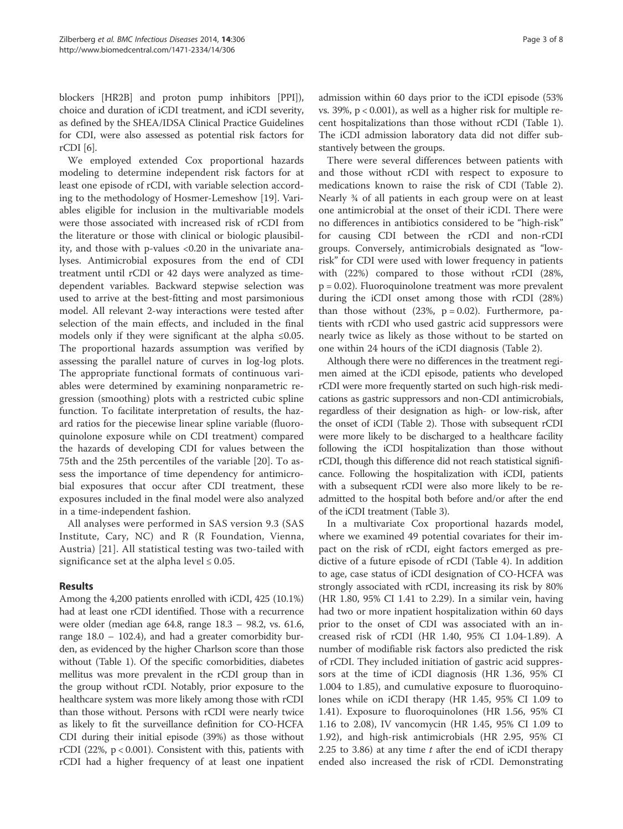blockers [HR2B] and proton pump inhibitors [PPI]), choice and duration of iCDI treatment, and iCDI severity, as defined by the SHEA/IDSA Clinical Practice Guidelines for CDI, were also assessed as potential risk factors for rCDI [6].

We employed extended Cox proportional hazards modeling to determine independent risk factors for at least one episode of rCDI, with variable selection according to the methodology of Hosmer-Lemeshow [19]. Variables eligible for inclusion in the multivariable models were those associated with increased risk of rCDI from the literature or those with clinical or biologic plausibility, and those with p-values <0.20 in the univariate analyses. Antimicrobial exposures from the end of CDI treatment until rCDI or 42 days were analyzed as timedependent variables. Backward stepwise selection was used to arrive at the best-fitting and most parsimonious model. All relevant 2-way interactions were tested after selection of the main effects, and included in the final models only if they were significant at the alpha  $\leq 0.05$ . The proportional hazards assumption was verified by assessing the parallel nature of curves in log-log plots. The appropriate functional formats of continuous variables were determined by examining nonparametric regression (smoothing) plots with a restricted cubic spline function. To facilitate interpretation of results, the hazard ratios for the piecewise linear spline variable (fluoroquinolone exposure while on CDI treatment) compared the hazards of developing CDI for values between the 75th and the 25th percentiles of the variable [20]. To assess the importance of time dependency for antimicrobial exposures that occur after CDI treatment, these exposures included in the final model were also analyzed in a time-independent fashion.

All analyses were performed in SAS version 9.3 (SAS Institute, Cary, NC) and R (R Foundation, Vienna, Austria) [21]. All statistical testing was two-tailed with significance set at the alpha level  $\leq 0.05$ .

### Results

Among the 4,200 patients enrolled with iCDI, 425 (10.1%) had at least one rCDI identified. Those with a recurrence were older (median age 64.8, range 18.3 – 98.2, vs. 61.6, range 18.0 – 102.4), and had a greater comorbidity burden, as evidenced by the higher Charlson score than those without (Table 1). Of the specific comorbidities, diabetes mellitus was more prevalent in the rCDI group than in the group without rCDI. Notably, prior exposure to the healthcare system was more likely among those with rCDI than those without. Persons with rCDI were nearly twice as likely to fit the surveillance definition for CO-HCFA CDI during their initial episode (39%) as those without rCDI (22%, p < 0.001). Consistent with this, patients with rCDI had a higher frequency of at least one inpatient

admission within 60 days prior to the iCDI episode (53% vs. 39%, p < 0.001), as well as a higher risk for multiple recent hospitalizations than those without rCDI (Table 1). The iCDI admission laboratory data did not differ substantively between the groups.

There were several differences between patients with and those without rCDI with respect to exposure to medications known to raise the risk of CDI (Table 2). Nearly ¾ of all patients in each group were on at least one antimicrobial at the onset of their iCDI. There were no differences in antibiotics considered to be "high-risk" for causing CDI between the rCDI and non-rCDI groups. Conversely, antimicrobials designated as "lowrisk" for CDI were used with lower frequency in patients with (22%) compared to those without rCDI (28%, p = 0.02). Fluoroquinolone treatment was more prevalent during the iCDI onset among those with rCDI (28%) than those without  $(23\%, p = 0.02)$ . Furthermore, patients with rCDI who used gastric acid suppressors were nearly twice as likely as those without to be started on one within 24 hours of the iCDI diagnosis (Table 2).

Although there were no differences in the treatment regimen aimed at the iCDI episode, patients who developed rCDI were more frequently started on such high-risk medications as gastric suppressors and non-CDI antimicrobials, regardless of their designation as high- or low-risk, after the onset of iCDI (Table 2). Those with subsequent rCDI were more likely to be discharged to a healthcare facility following the iCDI hospitalization than those without rCDI, though this difference did not reach statistical significance. Following the hospitalization with iCDI, patients with a subsequent rCDI were also more likely to be readmitted to the hospital both before and/or after the end of the iCDI treatment (Table 3).

In a multivariate Cox proportional hazards model, where we examined 49 potential covariates for their impact on the risk of rCDI, eight factors emerged as predictive of a future episode of rCDI (Table 4). In addition to age, case status of iCDI designation of CO-HCFA was strongly associated with rCDI, increasing its risk by 80% (HR 1.80, 95% CI 1.41 to 2.29). In a similar vein, having had two or more inpatient hospitalization within 60 days prior to the onset of CDI was associated with an increased risk of rCDI (HR 1.40, 95% CI 1.04-1.89). A number of modifiable risk factors also predicted the risk of rCDI. They included initiation of gastric acid suppressors at the time of iCDI diagnosis (HR 1.36, 95% CI 1.004 to 1.85), and cumulative exposure to fluoroquinolones while on iCDI therapy (HR 1.45, 95% CI 1.09 to 1.41). Exposure to fluoroquinolones (HR 1.56, 95% CI 1.16 to 2.08), IV vancomycin (HR 1.45, 95% CI 1.09 to 1.92), and high-risk antimicrobials (HR 2.95, 95% CI 2.25 to 3.86) at any time  $t$  after the end of iCDI therapy ended also increased the risk of rCDI. Demonstrating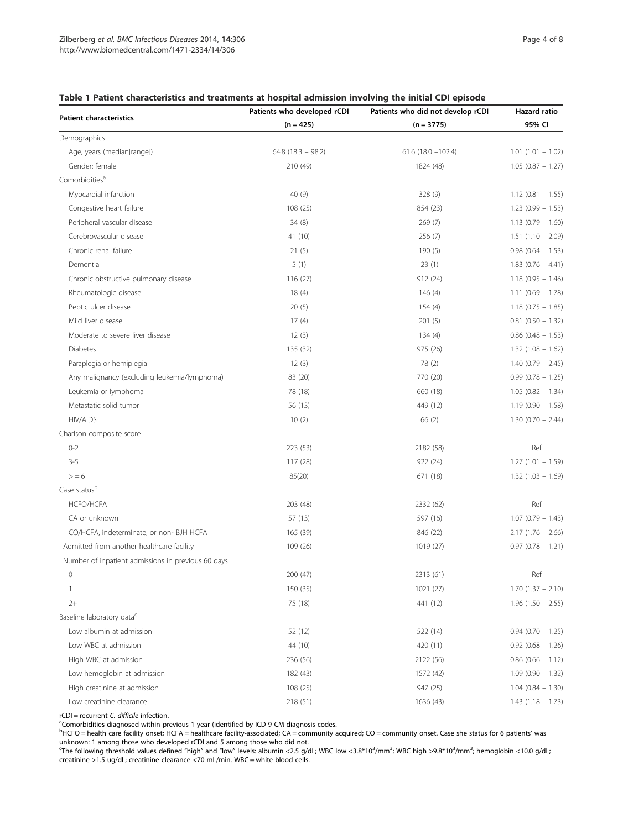#### Table 1 Patient characteristics and treatments at hospital admission involving the initial CDI episode

|                                                    | Patients who developed rCDI | Patients who did not develop rCDI | Hazard ratio           |
|----------------------------------------------------|-----------------------------|-----------------------------------|------------------------|
| <b>Patient characteristics</b>                     | $(n = 425)$                 | $(n = 3775)$                      | 95% CI                 |
| Demographics                                       |                             |                                   |                        |
| Age, years (median[range])                         | $64.8$ (18.3 - 98.2)        | $61.6$ (18.0 $-102.4$ )           | $1.01(1.01 - 1.02)$    |
| Gender: female                                     | 210 (49)                    | 1824 (48)                         | $1.05(0.87 - 1.27)$    |
| Comorbidities <sup>a</sup>                         |                             |                                   |                        |
| Myocardial infarction                              | 40 (9)                      | 328 (9)                           | $1.12$ (0.81 - 1.55)   |
| Congestive heart failure                           | 108 (25)                    | 854 (23)                          | $1.23$ (0.99 - 1.53)   |
| Peripheral vascular disease                        | 34(8)                       | 269(7)                            | $1.13(0.79 - 1.60)$    |
| Cerebrovascular disease                            | 41 (10)                     | 256(7)                            | $1.51(1.10 - 2.09)$    |
| Chronic renal failure                              | 21(5)                       | 190(5)                            | $0.98$ (0.64 - 1.53)   |
| Dementia                                           | 5(1)                        | 23(1)                             | $1.83$ (0.76 - 4.41)   |
| Chronic obstructive pulmonary disease              | 116(27)                     | 912 (24)                          | $1.18(0.95 - 1.46)$    |
| Rheumatologic disease                              | 18(4)                       | 146(4)                            | $1.11(0.69 - 1.78)$    |
| Peptic ulcer disease                               | 20(5)                       | 154(4)                            | $1.18$ (0.75 - 1.85)   |
| Mild liver disease                                 | 17(4)                       | 201(5)                            | $0.81$ (0.50 - 1.32)   |
| Moderate to severe liver disease                   | 12(3)                       | 134(4)                            | $0.86$ (0.48 - 1.53)   |
| <b>Diabetes</b>                                    | 135 (32)                    | 975 (26)                          | $1.32(1.08 - 1.62)$    |
| Paraplegia or hemiplegia                           | 12(3)                       | 78 (2)                            | $1.40$ (0.79 - 2.45)   |
| Any malignancy (excluding leukemia/lymphoma)       | 83 (20)                     | 770 (20)                          | $0.99$ (0.78 - 1.25)   |
| Leukemia or lymphoma                               | 78 (18)                     | 660 (18)                          | $1.05(0.82 - 1.34)$    |
| Metastatic solid tumor                             | 56 (13)                     | 449 (12)                          | $1.19$ (0.90 - 1.58)   |
| <b>HIV/AIDS</b>                                    | 10(2)                       | 66 (2)                            | $1.30(0.70 - 2.44)$    |
| Charlson composite score                           |                             |                                   |                        |
| $0 - 2$                                            | 223 (53)                    | 2182 (58)                         | Ref                    |
| $3 - 5$                                            | 117 (28)                    | 922 (24)                          | $1.27(1.01 - 1.59)$    |
| $> 5 = 6$                                          | 85(20)                      | 671 (18)                          | $1.32(1.03 - 1.69)$    |
| Case status <sup>b</sup>                           |                             |                                   |                        |
| HCFO/HCFA                                          | 203 (48)                    | 2332 (62)                         | Ref                    |
| CA or unknown                                      | 57 (13)                     | 597 (16)                          | $1.07$ (0.79 - 1.43)   |
| CO/HCFA, indeterminate, or non- BJH HCFA           | 165 (39)                    | 846 (22)                          | $2.17(1.76 - 2.66)$    |
| Admitted from another healthcare facility          | 109 (26)                    | 1019 (27)                         | $0.97$ (0.78 - 1.21)   |
| Number of inpatient admissions in previous 60 days |                             |                                   |                        |
| 0                                                  | 200 (47)                    | 2313 (61)                         | Ref                    |
|                                                    | 150 (35)                    | 1021 (27)                         | $1.70(1.37 - 2.10)$    |
| $2+$                                               | 75 (18)                     | 441 (12)                          | $1.96$ (1.50 - 2.55)   |
| Baseline laboratory data <sup>c</sup>              |                             |                                   |                        |
| Low albumin at admission                           | 52 (12)                     | 522 (14)                          | $0.94$ (0.70 - 1.25)   |
| Low WBC at admission                               | 44 (10)                     | 420 (11)                          | $0.92$ (0.68 - 1.26)   |
| High WBC at admission                              | 236 (56)                    | 2122 (56)                         | $0.86$ (0.66 - 1.12)   |
| Low hemoglobin at admission                        | 182 (43)                    | 1572 (42)                         | $1.09$ (0.90 - 1.32)   |
| High creatinine at admission                       | 108 (25)                    | 947 (25)                          | $1.04$ $(0.84 - 1.30)$ |
| Low creatinine clearance                           | 218 (51)                    | 1636 (43)                         | $1.43(1.18 - 1.73)$    |

 $rCDI = recurrent C.$  difficile infection.

<sup>a</sup>Comorbidities diagnosed within previous 1 year (identified by ICD-9-CM diagnosis codes.

b HCFO = health care facility onset; HCFA = healthcare facility-associated; CA = community acquired; CO = community onset. Case she status for 6 patients' was unknown: 1 among those who developed rCDI and 5 among those who did not.

 $^{\circ}$ The following threshold values defined "high" and "low" levels: albumin <2.5 g/dL; WBC low <3.8\*10 $^3$ /mm $^3$ ; WBC high >9.8\*10 $^3$ /mm $^3$ ; hemoglobin <10.0 g/dL; creatinine >1.5 ug/dL; creatinine clearance <70 mL/min. WBC = white blood cells.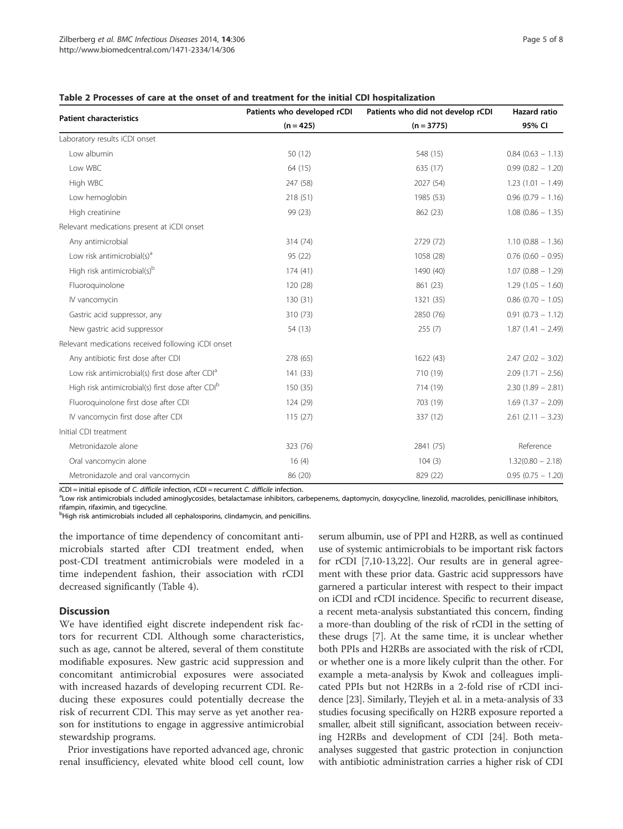|                                                              | Patients who developed rCDI | Patients who did not develop rCDI | Hazard ratio             |
|--------------------------------------------------------------|-----------------------------|-----------------------------------|--------------------------|
| <b>Patient characteristics</b>                               | $(n = 425)$                 | $(n = 3775)$                      | 95% CI                   |
| Laboratory results iCDI onset                                |                             |                                   |                          |
| Low albumin                                                  | 50 (12)                     | 548 (15)                          | $0.84$ (0.63 - 1.13)     |
| Low WBC                                                      | 64 (15)                     | 635 (17)                          | $0.99(0.82 - 1.20)$      |
| High WBC                                                     | 247 (58)                    | 2027 (54)                         | $1.23(1.01 - 1.49)$      |
| Low hemoglobin                                               | 218 (51)                    | 1985 (53)                         | $0.96(0.79 - 1.16)$      |
| High creatinine                                              | 99 (23)                     | 862 (23)                          | $1.08$ (0.86 - 1.35)     |
| Relevant medications present at iCDI onset                   |                             |                                   |                          |
| Any antimicrobial                                            | 314 (74)                    | 2729 (72)                         | $1.10(0.88 - 1.36)$      |
| Low risk antimicrobial(s) <sup>a</sup>                       | 95 (22)                     | 1058 (28)                         | $0.76$ (0.60 - 0.95)     |
| High risk antimicrobial(s) <sup>b</sup>                      | 174(41)                     | 1490 (40)                         | $1.07(0.88 - 1.29)$      |
| Fluoroquinolone                                              | 120 (28)                    | 861 (23)                          | $1.29(1.05 - 1.60)$      |
| IV vancomycin                                                | 130(31)                     | 1321 (35)                         | $0.86$ (0.70 - 1.05)     |
| Gastric acid suppressor, any                                 | 310 (73)                    | 2850 (76)                         | $0.91(0.73 - 1.12)$      |
| New gastric acid suppressor                                  | 54 (13)                     | 255(7)                            | $1.87(1.41 - 2.49)$      |
| Relevant medications received following iCDI onset           |                             |                                   |                          |
| Any antibiotic first dose after CDI                          | 278 (65)                    | 1622 (43)                         | $2.47(2.02 - 3.02)$      |
| Low risk antimicrobial(s) first dose after CDI <sup>a</sup>  | 141(33)                     | 710 (19)                          | $2.09(1.71 - 2.56)$      |
| High risk antimicrobial(s) first dose after CDI <sup>b</sup> | 150(35)                     | 714 (19)                          | $2.30(1.89 - 2.81)$      |
| Fluoroquinolone first dose after CDI                         | 124 (29)                    | 703 (19)                          | $1.69$ $(1.37 - 2.09)$   |
| IV vancomycin first dose after CDI                           | 115(27)                     | 337 (12)                          | $2.61$ ( $2.11 - 3.23$ ) |
| Initial CDI treatment                                        |                             |                                   |                          |
| Metronidazole alone                                          | 323 (76)                    | 2841 (75)                         | Reference                |
| Oral vancomycin alone                                        | 16(4)                       | 104(3)                            | $1.32(0.80 - 2.18)$      |
| Metronidazole and oral vancomycin                            | 86 (20)                     | 829 (22)                          | $0.95(0.75 - 1.20)$      |

| Table 2 Processes of care at the onset of and treatment for the initial CDI hospitalization |  |  |
|---------------------------------------------------------------------------------------------|--|--|
|---------------------------------------------------------------------------------------------|--|--|

 $iCD$ I = initial episode of C. difficile infection,  $rCD$ I = recurrent C. difficile infection.

aLow risk antimicrobials included aminoglycosides, betalactamase inhibitors, carbepenems, daptomycin, doxycycline, linezolid, macrolides, penicillinase inhibitors, rifampin, rifaximin, and tigecycline.

<sup>b</sup>High risk antimicrobials included all cephalosporins, clindamycin, and penicillins.

the importance of time dependency of concomitant antimicrobials started after CDI treatment ended, when post-CDI treatment antimicrobials were modeled in a time independent fashion, their association with rCDI decreased significantly (Table 4).

#### **Discussion**

We have identified eight discrete independent risk factors for recurrent CDI. Although some characteristics, such as age, cannot be altered, several of them constitute modifiable exposures. New gastric acid suppression and concomitant antimicrobial exposures were associated with increased hazards of developing recurrent CDI. Reducing these exposures could potentially decrease the risk of recurrent CDI. This may serve as yet another reason for institutions to engage in aggressive antimicrobial stewardship programs.

Prior investigations have reported advanced age, chronic renal insufficiency, elevated white blood cell count, low serum albumin, use of PPI and H2RB, as well as continued use of systemic antimicrobials to be important risk factors for rCDI [7,10-13,22]. Our results are in general agreement with these prior data. Gastric acid suppressors have garnered a particular interest with respect to their impact on iCDI and rCDI incidence. Specific to recurrent disease, a recent meta-analysis substantiated this concern, finding a more-than doubling of the risk of rCDI in the setting of these drugs [7]. At the same time, it is unclear whether both PPIs and H2RBs are associated with the risk of rCDI, or whether one is a more likely culprit than the other. For example a meta-analysis by Kwok and colleagues implicated PPIs but not H2RBs in a 2-fold rise of rCDI incidence [23]. Similarly, Tleyjeh et al. in a meta-analysis of 33 studies focusing specifically on H2RB exposure reported a smaller, albeit still significant, association between receiving H2RBs and development of CDI [24]. Both metaanalyses suggested that gastric protection in conjunction with antibiotic administration carries a higher risk of CDI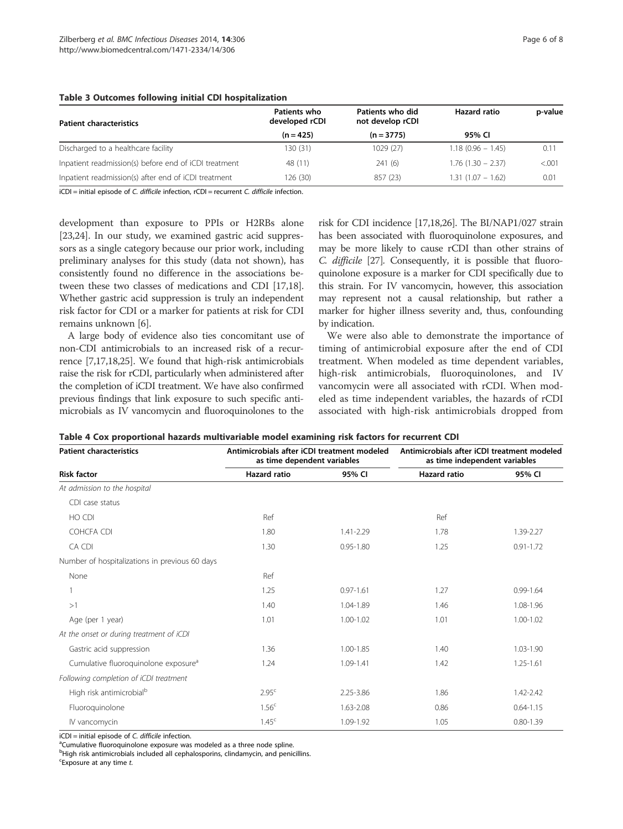| $1.44914$ $\sigma$ weighting the control control with the presentation $\sigma$ |                                |                                      |                     |         |
|---------------------------------------------------------------------------------|--------------------------------|--------------------------------------|---------------------|---------|
| <b>Patient characteristics</b>                                                  | Patients who<br>developed rCDI | Patients who did<br>not develop rCDI | Hazard ratio        | p-value |
|                                                                                 | $(n = 425)$                    | $(n = 3775)$                         | 95% CI              |         |
| Discharged to a healthcare facility                                             | 130 (31)                       | 1029 (27)                            | $1.18(0.96 - 1.45)$ | 0.11    |
| Inpatient readmission(s) before end of iCDI treatment                           | 48 (11)                        | 241(6)                               | $1.76(1.30 - 2.37)$ | < 0.001 |

Inpatient readmission(s) after end of iCDI treatment 126 (30) 857 (23) 1.31 (1.07 – 1.62) 0.01

## Table 3 Outcomes following initial CDI hospitalization

 $iCD$ I = initial episode of C. difficile infection,  $rCD$ I = recurrent C. difficile infection.

development than exposure to PPIs or H2RBs alone [23,24]. In our study, we examined gastric acid suppressors as a single category because our prior work, including preliminary analyses for this study (data not shown), has consistently found no difference in the associations between these two classes of medications and CDI [17,18]. Whether gastric acid suppression is truly an independent risk factor for CDI or a marker for patients at risk for CDI remains unknown [6].

A large body of evidence also ties concomitant use of non-CDI antimicrobials to an increased risk of a recurrence [7,17,18,25]. We found that high-risk antimicrobials raise the risk for rCDI, particularly when administered after the completion of iCDI treatment. We have also confirmed previous findings that link exposure to such specific antimicrobials as IV vancomycin and fluoroquinolones to the

risk for CDI incidence [17,18,26]. The BI/NAP1/027 strain has been associated with fluoroquinolone exposures, and may be more likely to cause rCDI than other strains of C. difficile [27]. Consequently, it is possible that fluoroquinolone exposure is a marker for CDI specifically due to this strain. For IV vancomycin, however, this association may represent not a causal relationship, but rather a marker for higher illness severity and, thus, confounding by indication.

We were also able to demonstrate the importance of timing of antimicrobial exposure after the end of CDI treatment. When modeled as time dependent variables, high-risk antimicrobials, fluoroquinolones, and IV vancomycin were all associated with rCDI. When modeled as time independent variables, the hazards of rCDI associated with high-risk antimicrobials dropped from

| <b>Patient characteristics</b>                   | Antimicrobials after iCDI treatment modeled<br>as time dependent variables |               | Antimicrobials after iCDI treatment modeled<br>as time independent variables |               |
|--------------------------------------------------|----------------------------------------------------------------------------|---------------|------------------------------------------------------------------------------|---------------|
| <b>Risk factor</b>                               | <b>Hazard ratio</b>                                                        | 95% CI        | <b>Hazard ratio</b>                                                          | 95% CI        |
| At admission to the hospital                     |                                                                            |               |                                                                              |               |
| CDI case status                                  |                                                                            |               |                                                                              |               |
| HO CDI                                           | Ref                                                                        |               | Ref                                                                          |               |
| COHCFA CDI                                       | 1.80                                                                       | 1.41-2.29     | 1.78                                                                         | 1.39-2.27     |
| CA CDI                                           | 1.30                                                                       | $0.95 - 1.80$ | 1.25                                                                         | $0.91 - 1.72$ |
| Number of hospitalizations in previous 60 days   |                                                                            |               |                                                                              |               |
| None                                             | Ref                                                                        |               |                                                                              |               |
|                                                  | 1.25                                                                       | $0.97 - 1.61$ | 1.27                                                                         | $0.99 - 1.64$ |
| >1                                               | 1.40                                                                       | 1.04-1.89     | 1.46                                                                         | 1.08-1.96     |
| Age (per 1 year)                                 | 1.01                                                                       | $1.00 - 1.02$ | 1.01                                                                         | $1.00 - 1.02$ |
| At the onset or during treatment of iCDI         |                                                                            |               |                                                                              |               |
| Gastric acid suppression                         | 1.36                                                                       | $1.00 - 1.85$ | 1.40                                                                         | 1.03-1.90     |
| Cumulative fluoroquinolone exposure <sup>a</sup> | 1.24                                                                       | 1.09-1.41     | 1.42                                                                         | $1.25 - 1.61$ |
| Following completion of iCDI treatment           |                                                                            |               |                                                                              |               |
| High risk antimicrobial <sup>b</sup>             | 2.95 <sup>c</sup>                                                          | 2.25-3.86     | 1.86                                                                         | $1.42 - 2.42$ |
| Fluoroquinolone                                  | 1.56 <sup>c</sup>                                                          | 1.63-2.08     | 0.86                                                                         | $0.64 - 1.15$ |
| IV vancomycin                                    | 1.45 <sup>c</sup>                                                          | 1.09-1.92     | 1.05                                                                         | $0.80 - 1.39$ |

Table 4 Cox proportional hazards multivariable model examining risk factors for recurrent CDI

 $iCDI = initial$  episode of C. difficile infection.

<sup>a</sup>Cumulative fluoroquinolone exposure was modeled as a three node spline.

<sup>b</sup>High risk antimicrobials included all cephalosporins, clindamycin, and penicillins.

Exposure at any time t.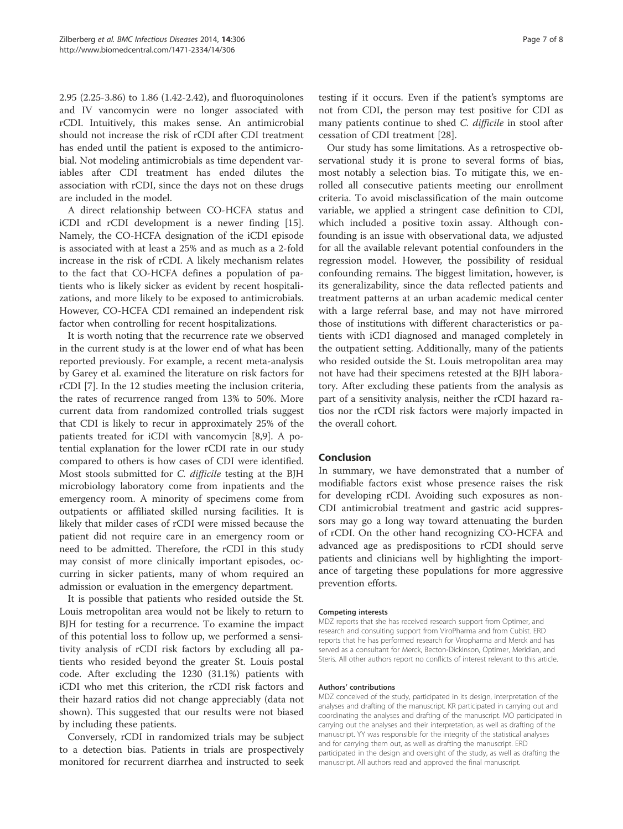2.95 (2.25-3.86) to 1.86 (1.42-2.42), and fluoroquinolones and IV vancomycin were no longer associated with rCDI. Intuitively, this makes sense. An antimicrobial should not increase the risk of rCDI after CDI treatment has ended until the patient is exposed to the antimicrobial. Not modeling antimicrobials as time dependent variables after CDI treatment has ended dilutes the association with rCDI, since the days not on these drugs are included in the model.

A direct relationship between CO-HCFA status and iCDI and rCDI development is a newer finding [15]. Namely, the CO-HCFA designation of the iCDI episode is associated with at least a 25% and as much as a 2-fold increase in the risk of rCDI. A likely mechanism relates to the fact that CO-HCFA defines a population of patients who is likely sicker as evident by recent hospitalizations, and more likely to be exposed to antimicrobials. However, CO-HCFA CDI remained an independent risk factor when controlling for recent hospitalizations.

It is worth noting that the recurrence rate we observed in the current study is at the lower end of what has been reported previously. For example, a recent meta-analysis by Garey et al. examined the literature on risk factors for rCDI [7]. In the 12 studies meeting the inclusion criteria, the rates of recurrence ranged from 13% to 50%. More current data from randomized controlled trials suggest that CDI is likely to recur in approximately 25% of the patients treated for iCDI with vancomycin [8,9]. A potential explanation for the lower rCDI rate in our study compared to others is how cases of CDI were identified. Most stools submitted for C. difficile testing at the BJH microbiology laboratory come from inpatients and the emergency room. A minority of specimens come from outpatients or affiliated skilled nursing facilities. It is likely that milder cases of rCDI were missed because the patient did not require care in an emergency room or need to be admitted. Therefore, the rCDI in this study may consist of more clinically important episodes, occurring in sicker patients, many of whom required an admission or evaluation in the emergency department.

It is possible that patients who resided outside the St. Louis metropolitan area would not be likely to return to BJH for testing for a recurrence. To examine the impact of this potential loss to follow up, we performed a sensitivity analysis of rCDI risk factors by excluding all patients who resided beyond the greater St. Louis postal code. After excluding the 1230 (31.1%) patients with iCDI who met this criterion, the rCDI risk factors and their hazard ratios did not change appreciably (data not shown). This suggested that our results were not biased by including these patients.

Conversely, rCDI in randomized trials may be subject to a detection bias. Patients in trials are prospectively monitored for recurrent diarrhea and instructed to seek testing if it occurs. Even if the patient's symptoms are not from CDI, the person may test positive for CDI as many patients continue to shed C. difficile in stool after cessation of CDI treatment [28].

Our study has some limitations. As a retrospective observational study it is prone to several forms of bias, most notably a selection bias. To mitigate this, we enrolled all consecutive patients meeting our enrollment criteria. To avoid misclassification of the main outcome variable, we applied a stringent case definition to CDI, which included a positive toxin assay. Although confounding is an issue with observational data, we adjusted for all the available relevant potential confounders in the regression model. However, the possibility of residual confounding remains. The biggest limitation, however, is its generalizability, since the data reflected patients and treatment patterns at an urban academic medical center with a large referral base, and may not have mirrored those of institutions with different characteristics or patients with iCDI diagnosed and managed completely in the outpatient setting. Additionally, many of the patients who resided outside the St. Louis metropolitan area may not have had their specimens retested at the BJH laboratory. After excluding these patients from the analysis as part of a sensitivity analysis, neither the rCDI hazard ratios nor the rCDI risk factors were majorly impacted in the overall cohort.

#### Conclusion

In summary, we have demonstrated that a number of modifiable factors exist whose presence raises the risk for developing rCDI. Avoiding such exposures as non-CDI antimicrobial treatment and gastric acid suppressors may go a long way toward attenuating the burden of rCDI. On the other hand recognizing CO-HCFA and advanced age as predispositions to rCDI should serve patients and clinicians well by highlighting the importance of targeting these populations for more aggressive prevention efforts.

#### Competing interests

MDZ reports that she has received research support from Optimer, and research and consulting support from ViroPharma and from Cubist. ERD reports that he has performed research for Viropharma and Merck and has served as a consultant for Merck, Becton-Dickinson, Optimer, Meridian, and Steris. All other authors report no conflicts of interest relevant to this article.

#### Authors' contributions

MDZ conceived of the study, participated in its design, interpretation of the analyses and drafting of the manuscript. KR participated in carrying out and coordinating the analyses and drafting of the manuscript. MO participated in carrying out the analyses and their interpretation, as well as drafting of the manuscript. YY was responsible for the integrity of the statistical analyses and for carrying them out, as well as drafting the manuscript. ERD participated in the design and oversight of the study, as well as drafting the manuscript. All authors read and approved the final manuscript.